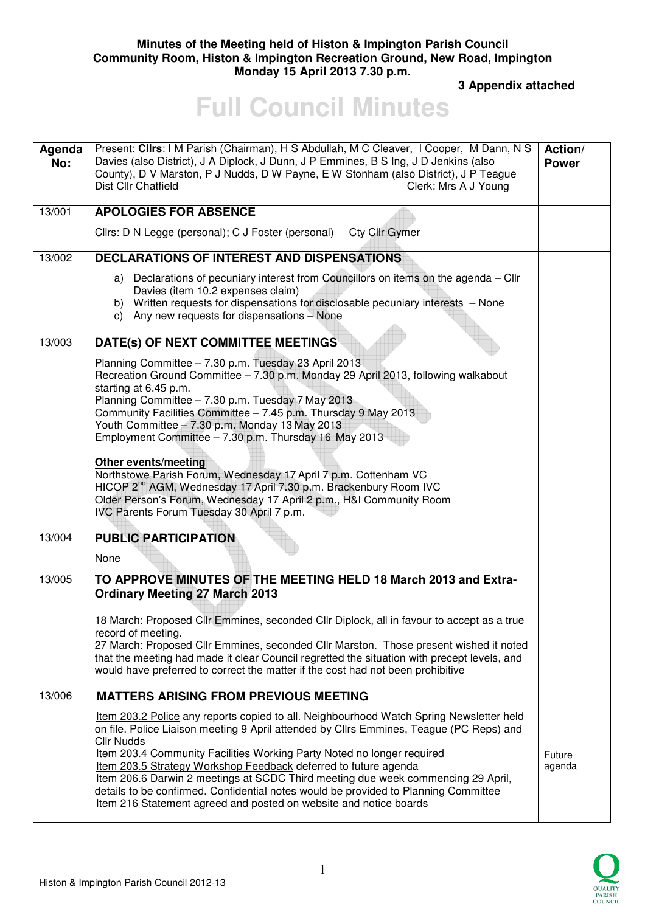### **Minutes of the Meeting held of Histon & Impington Parish Council Community Room, Histon & Impington Recreation Ground, New Road, Impington Monday 15 April 2013 7.30 p.m.**

 **3 Appendix attached** 

# **Full Council Minutes**

| Agenda<br>No: | Present: Clirs: I M Parish (Chairman), H S Abdullah, M C Cleaver, I Cooper, M Dann, N S<br>Davies (also District), J A Diplock, J Dunn, J P Emmines, B S Ing, J D Jenkins (also<br>County), D V Marston, P J Nudds, D W Payne, E W Stonham (also District), J P Teague<br>Dist Cllr Chatfield<br>Clerk: Mrs A J Young                                                                                                                                                                                                                                                                                |                  |
|---------------|------------------------------------------------------------------------------------------------------------------------------------------------------------------------------------------------------------------------------------------------------------------------------------------------------------------------------------------------------------------------------------------------------------------------------------------------------------------------------------------------------------------------------------------------------------------------------------------------------|------------------|
| 13/001        | <b>APOLOGIES FOR ABSENCE</b>                                                                                                                                                                                                                                                                                                                                                                                                                                                                                                                                                                         |                  |
|               | Cllrs: D N Legge (personal); C J Foster (personal) Cty Cllr Gymer                                                                                                                                                                                                                                                                                                                                                                                                                                                                                                                                    |                  |
| 13/002        | <b>DECLARATIONS OF INTEREST AND DISPENSATIONS</b>                                                                                                                                                                                                                                                                                                                                                                                                                                                                                                                                                    |                  |
|               | a) Declarations of pecuniary interest from Councillors on items on the agenda - Cllr<br>Davies (item 10.2 expenses claim)<br>b) Written requests for dispensations for disclosable pecuniary interests - None<br>c) Any new requests for dispensations - None                                                                                                                                                                                                                                                                                                                                        |                  |
| 13/003        | DATE(s) OF NEXT COMMITTEE MEETINGS                                                                                                                                                                                                                                                                                                                                                                                                                                                                                                                                                                   |                  |
|               | Planning Committee - 7.30 p.m. Tuesday 23 April 2013<br>Recreation Ground Committee - 7.30 p.m. Monday 29 April 2013, following walkabout<br>starting at 6.45 p.m.<br>Planning Committee - 7.30 p.m. Tuesday 7 May 2013<br>Community Facilities Committee - 7.45 p.m. Thursday 9 May 2013<br>Youth Committee - 7.30 p.m. Monday 13 May 2013<br>Employment Committee - 7.30 p.m. Thursday 16 May 2013                                                                                                                                                                                                 |                  |
|               | <b>Other events/meeting</b><br>Northstowe Parish Forum, Wednesday 17 April 7 p.m. Cottenham VC<br>HICOP 2 <sup>nd</sup> AGM, Wednesday 17 April 7.30 p.m. Brackenbury Room IVC<br>Older Person's Forum, Wednesday 17 April 2 p.m., H&I Community Room<br>IVC Parents Forum Tuesday 30 April 7 p.m.                                                                                                                                                                                                                                                                                                   |                  |
| 13/004        | <b>PUBLIC PARTICIPATION</b>                                                                                                                                                                                                                                                                                                                                                                                                                                                                                                                                                                          |                  |
|               | None                                                                                                                                                                                                                                                                                                                                                                                                                                                                                                                                                                                                 |                  |
| 13/005        | TO APPROVE MINUTES OF THE MEETING HELD 18 March 2013 and Extra-<br><b>Ordinary Meeting 27 March 2013</b>                                                                                                                                                                                                                                                                                                                                                                                                                                                                                             |                  |
|               | 18 March: Proposed Cllr Emmines, seconded Cllr Diplock, all in favour to accept as a true<br>record of meeting.<br>27 March: Proposed Cllr Emmines, seconded Cllr Marston. Those present wished it noted                                                                                                                                                                                                                                                                                                                                                                                             |                  |
|               | that the meeting had made it clear Council regretted the situation with precept levels, and<br>would have preferred to correct the matter if the cost had not been prohibitive                                                                                                                                                                                                                                                                                                                                                                                                                       |                  |
| 13/006        | <b>MATTERS ARISING FROM PREVIOUS MEETING</b>                                                                                                                                                                                                                                                                                                                                                                                                                                                                                                                                                         |                  |
|               | Item 203.2 Police any reports copied to all. Neighbourhood Watch Spring Newsletter held<br>on file. Police Liaison meeting 9 April attended by Cllrs Emmines, Teague (PC Reps) and<br><b>Cllr Nudds</b><br>Item 203.4 Community Facilities Working Party Noted no longer required<br>Item 203.5 Strategy Workshop Feedback deferred to future agenda<br>Item 206.6 Darwin 2 meetings at SCDC Third meeting due week commencing 29 April,<br>details to be confirmed. Confidential notes would be provided to Planning Committee<br>Item 216 Statement agreed and posted on website and notice boards | Future<br>agenda |

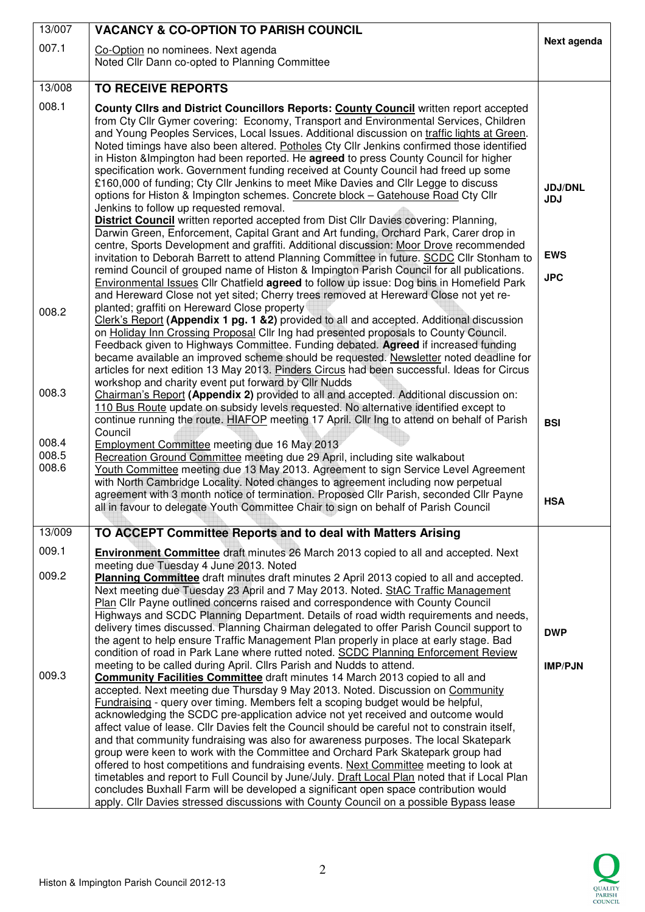| 13/007         | <b>VACANCY &amp; CO-OPTION TO PARISH COUNCIL</b>                                                                                                                                          |                              |
|----------------|-------------------------------------------------------------------------------------------------------------------------------------------------------------------------------------------|------------------------------|
| 007.1          | Co-Option no nominees. Next agenda                                                                                                                                                        | Next agenda                  |
|                | Noted Cllr Dann co-opted to Planning Committee                                                                                                                                            |                              |
| 13/008         | <b>TO RECEIVE REPORTS</b>                                                                                                                                                                 |                              |
| 008.1          | County Clirs and District Councillors Reports: County Council written report accepted                                                                                                     |                              |
|                | from Cty Cllr Gymer covering: Economy, Transport and Environmental Services, Children                                                                                                     |                              |
|                | and Young Peoples Services, Local Issues. Additional discussion on traffic lights at Green.<br>Noted timings have also been altered. Potholes Cty Cllr Jenkins confirmed those identified |                              |
|                | in Histon & Impington had been reported. He agreed to press County Council for higher                                                                                                     |                              |
|                | specification work. Government funding received at County Council had freed up some<br>£160,000 of funding; Cty Cllr Jenkins to meet Mike Davies and Cllr Legge to discuss                |                              |
|                | options for Histon & Impington schemes. Concrete block - Gatehouse Road Cty Cllr                                                                                                          | <b>JDJ/DNL</b><br><b>JDJ</b> |
|                | Jenkins to follow up requested removal.                                                                                                                                                   |                              |
|                | <b>District Council</b> written reported accepted from Dist Cllr Davies covering: Planning,<br>Darwin Green, Enforcement, Capital Grant and Art funding, Orchard Park, Carer drop in      |                              |
|                | centre, Sports Development and graffiti. Additional discussion: Moor Drove recommended                                                                                                    | <b>EWS</b>                   |
|                | invitation to Deborah Barrett to attend Planning Committee in future. SCDC Cllr Stonham to<br>remind Council of grouped name of Histon & Impington Parish Council for all publications.   |                              |
|                | Environmental Issues Cllr Chatfield agreed to follow up issue: Dog bins in Homefield Park                                                                                                 | <b>JPC</b>                   |
|                | and Hereward Close not yet sited; Cherry trees removed at Hereward Close not yet re-<br>planted; graffiti on Hereward Close property                                                      |                              |
| 008.2          | Clerk's Report (Appendix 1 pg. 1 & 2) provided to all and accepted. Additional discussion                                                                                                 |                              |
|                | on Holiday Inn Crossing Proposal ClIr Ing had presented proposals to County Council.<br>Feedback given to Highways Committee. Funding debated. Agreed if increased funding                |                              |
|                | became available an improved scheme should be requested. Newsletter noted deadline for                                                                                                    |                              |
|                | articles for next edition 13 May 2013. Pinders Circus had been successful. Ideas for Circus<br>workshop and charity event put forward by Cllr Nudds                                       |                              |
| 008.3          | Chairman's Report (Appendix 2) provided to all and accepted. Additional discussion on:                                                                                                    |                              |
|                | 110 Bus Route update on subsidy levels requested. No alternative identified except to                                                                                                     |                              |
|                | continue running the route. HIAFOP meeting 17 April. Cllr Ing to attend on behalf of Parish<br>Council                                                                                    | <b>BSI</b>                   |
| 008.4<br>008.5 | Employment Committee meeting due 16 May 2013                                                                                                                                              |                              |
| 008.6          | Recreation Ground Committee meeting due 29 April, including site walkabout<br>Youth Committee meeting due 13 May 2013. Agreement to sign Service Level Agreement                          |                              |
|                | with North Cambridge Locality. Noted changes to agreement including now perpetual                                                                                                         |                              |
|                | agreement with 3 month notice of termination. Proposed Cllr Parish, seconded Cllr Payne<br>all in favour to delegate Youth Committee Chair to sign on behalf of Parish Council            | <b>HSA</b>                   |
|                |                                                                                                                                                                                           |                              |
| 13/009         | TO ACCEPT Committee Reports and to deal with Matters Arising                                                                                                                              |                              |
| 009.1          | <b>Environment Committee</b> draft minutes 26 March 2013 copied to all and accepted. Next<br>meeting due Tuesday 4 June 2013. Noted                                                       |                              |
| 009.2          | Planning Committee draft minutes draft minutes 2 April 2013 copied to all and accepted.                                                                                                   |                              |
|                | Next meeting due Tuesday 23 April and 7 May 2013. Noted. StAC Traffic Management<br>Plan Cllr Payne outlined concerns raised and correspondence with County Council                       |                              |
|                | Highways and SCDC Planning Department. Details of road width requirements and needs,                                                                                                      |                              |
|                | delivery times discussed. Planning Chairman delegated to offer Parish Council support to<br>the agent to help ensure Traffic Management Plan properly in place at early stage. Bad        | <b>DWP</b>                   |
|                | condition of road in Park Lane where rutted noted. SCDC Planning Enforcement Review                                                                                                       |                              |
| 009.3          | meeting to be called during April. Cllrs Parish and Nudds to attend.<br><b>Community Facilities Committee</b> draft minutes 14 March 2013 copied to all and                               | <b>IMP/PJN</b>               |
|                | accepted. Next meeting due Thursday 9 May 2013. Noted. Discussion on Community                                                                                                            |                              |
|                | Fundraising - query over timing. Members felt a scoping budget would be helpful,                                                                                                          |                              |
|                | acknowledging the SCDC pre-application advice not yet received and outcome would<br>affect value of lease. Cllr Davies felt the Council should be careful not to constrain itself,        |                              |
|                | and that community fundraising was also for awareness purposes. The local Skatepark                                                                                                       |                              |
|                | group were keen to work with the Committee and Orchard Park Skatepark group had<br>offered to host competitions and fundraising events. Next Committee meeting to look at                 |                              |
|                | timetables and report to Full Council by June/July. Draft Local Plan noted that if Local Plan                                                                                             |                              |
|                | concludes Buxhall Farm will be developed a significant open space contribution would<br>apply. Cllr Davies stressed discussions with County Council on a possible Bypass lease            |                              |

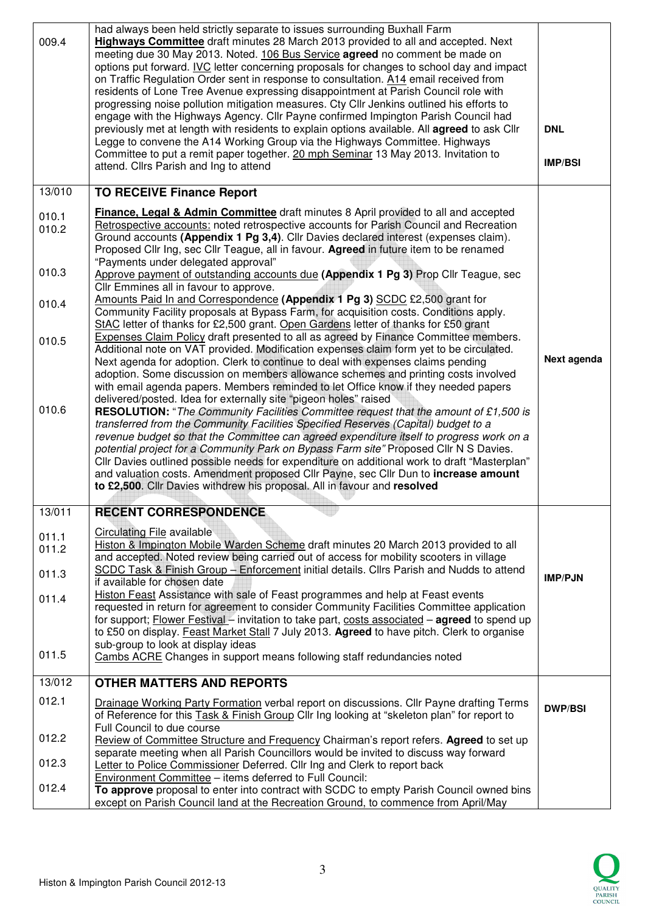| 009.4                                               | had always been held strictly separate to issues surrounding Buxhall Farm<br>Highways Committee draft minutes 28 March 2013 provided to all and accepted. Next<br>meeting due 30 May 2013. Noted. 106 Bus Service agreed no comment be made on<br>options put forward. IVC letter concerning proposals for changes to school day and impact<br>on Traffic Regulation Order sent in response to consultation. A14 email received from<br>residents of Lone Tree Avenue expressing disappointment at Parish Council role with<br>progressing noise pollution mitigation measures. Cty Cllr Jenkins outlined his efforts to<br>engage with the Highways Agency. Cllr Payne confirmed Impington Parish Council had<br>previously met at length with residents to explain options available. All agreed to ask Cllr<br>Legge to convene the A14 Working Group via the Highways Committee. Highways<br>Committee to put a remit paper together. 20 mph Seminar 13 May 2013. Invitation to<br>attend. Cllrs Parish and Ing to attend                                                                                                                                                                                                                                                                                                                                                                                                                                                                                                                                                                                                                                                                                                                                                                                                                                                                             | <b>DNL</b><br><b>IMP/BSI</b> |
|-----------------------------------------------------|-----------------------------------------------------------------------------------------------------------------------------------------------------------------------------------------------------------------------------------------------------------------------------------------------------------------------------------------------------------------------------------------------------------------------------------------------------------------------------------------------------------------------------------------------------------------------------------------------------------------------------------------------------------------------------------------------------------------------------------------------------------------------------------------------------------------------------------------------------------------------------------------------------------------------------------------------------------------------------------------------------------------------------------------------------------------------------------------------------------------------------------------------------------------------------------------------------------------------------------------------------------------------------------------------------------------------------------------------------------------------------------------------------------------------------------------------------------------------------------------------------------------------------------------------------------------------------------------------------------------------------------------------------------------------------------------------------------------------------------------------------------------------------------------------------------------------------------------------------------------------------------------------------------|------------------------------|
| 13/010                                              | <b>TO RECEIVE Finance Report</b>                                                                                                                                                                                                                                                                                                                                                                                                                                                                                                                                                                                                                                                                                                                                                                                                                                                                                                                                                                                                                                                                                                                                                                                                                                                                                                                                                                                                                                                                                                                                                                                                                                                                                                                                                                                                                                                                          |                              |
| 010.1<br>010.2<br>010.3<br>010.4<br>010.5<br>010.6  | <b>Finance, Legal &amp; Admin Committee</b> draft minutes 8 April provided to all and accepted<br>Retrospective accounts: noted retrospective accounts for Parish Council and Recreation<br>Ground accounts (Appendix 1 Pg 3,4). Cllr Davies declared interest (expenses claim).<br>Proposed Cllr Ing, sec Cllr Teague, all in favour. Agreed in future item to be renamed<br>"Payments under delegated approval"<br>Approve payment of outstanding accounts due (Appendix 1 Pg 3) Prop Cllr Teague, sec<br>Cllr Emmines all in favour to approve.<br>Amounts Paid In and Correspondence (Appendix 1 Pg 3) SCDC £2,500 grant for<br>Community Facility proposals at Bypass Farm, for acquisition costs. Conditions apply.<br>StAC letter of thanks for £2,500 grant. Open Gardens letter of thanks for £50 grant<br>Expenses Claim Policy draft presented to all as agreed by Finance Committee members.<br>Additional note on VAT provided. Modification expenses claim form yet to be circulated.<br>Next agenda for adoption. Clerk to continue to deal with expenses claims pending<br>adoption. Some discussion on members allowance schemes and printing costs involved<br>with email agenda papers. Members reminded to let Office know if they needed papers<br>delivered/posted. Idea for externally site "pigeon holes" raised<br><b>RESOLUTION:</b> "The Community Facilities Committee request that the amount of £1,500 is<br>transferred from the Community Facilities Specified Reserves (Capital) budget to a<br>revenue budget so that the Committee can agreed expenditure itself to progress work on a<br>potential project for a Community Park on Bypass Farm site" Proposed Cllr N S Davies.<br>Cllr Davies outlined possible needs for expenditure on additional work to draft "Masterplan"<br>and valuation costs. Amendment proposed Cllr Payne, sec Cllr Dun to increase amount | Next agenda                  |
|                                                     | to £2,500. Cllr Davies withdrew his proposal. All in favour and resolved                                                                                                                                                                                                                                                                                                                                                                                                                                                                                                                                                                                                                                                                                                                                                                                                                                                                                                                                                                                                                                                                                                                                                                                                                                                                                                                                                                                                                                                                                                                                                                                                                                                                                                                                                                                                                                  |                              |
| 13/011<br>011.1<br>011.2<br>011.3<br>011.4<br>011.5 | <b>RECENT CORRESPONDENCE</b><br>Circulating File available<br>Histon & Impington Mobile Warden Scheme draft minutes 20 March 2013 provided to all<br>and accepted. Noted review being carried out of access for mobility scooters in village<br>SCDC Task & Finish Group - Enforcement initial details. Cllrs Parish and Nudds to attend<br>if available for chosen date<br>Histon Feast Assistance with sale of Feast programmes and help at Feast events<br>requested in return for agreement to consider Community Facilities Committee application<br>for support; Flower Festival - invitation to take part, costs associated - agreed to spend up<br>to £50 on display. Feast Market Stall 7 July 2013. Agreed to have pitch. Clerk to organise<br>sub-group to look at display ideas<br>Cambs ACRE Changes in support means following staff redundancies noted                                                                                                                                                                                                                                                                                                                                                                                                                                                                                                                                                                                                                                                                                                                                                                                                                                                                                                                                                                                                                                     | <b>IMP/PJN</b>               |
| 13/012                                              | <b>OTHER MATTERS AND REPORTS</b>                                                                                                                                                                                                                                                                                                                                                                                                                                                                                                                                                                                                                                                                                                                                                                                                                                                                                                                                                                                                                                                                                                                                                                                                                                                                                                                                                                                                                                                                                                                                                                                                                                                                                                                                                                                                                                                                          |                              |
| 012.1<br>012.2<br>012.3<br>012.4                    | Drainage Working Party Formation verbal report on discussions. Cllr Payne drafting Terms<br>of Reference for this <b>Task &amp; Finish Group Cllr Ing looking at "skeleton plan"</b> for report to<br>Full Council to due course<br>Review of Committee Structure and Frequency Chairman's report refers. Agreed to set up<br>separate meeting when all Parish Councillors would be invited to discuss way forward<br>Letter to Police Commissioner Deferred. Cllr Ing and Clerk to report back<br>Environment Committee - items deferred to Full Council:<br>To approve proposal to enter into contract with SCDC to empty Parish Council owned bins                                                                                                                                                                                                                                                                                                                                                                                                                                                                                                                                                                                                                                                                                                                                                                                                                                                                                                                                                                                                                                                                                                                                                                                                                                                     | <b>DWP/BSI</b>               |
|                                                     | except on Parish Council land at the Recreation Ground, to commence from April/May                                                                                                                                                                                                                                                                                                                                                                                                                                                                                                                                                                                                                                                                                                                                                                                                                                                                                                                                                                                                                                                                                                                                                                                                                                                                                                                                                                                                                                                                                                                                                                                                                                                                                                                                                                                                                        |                              |

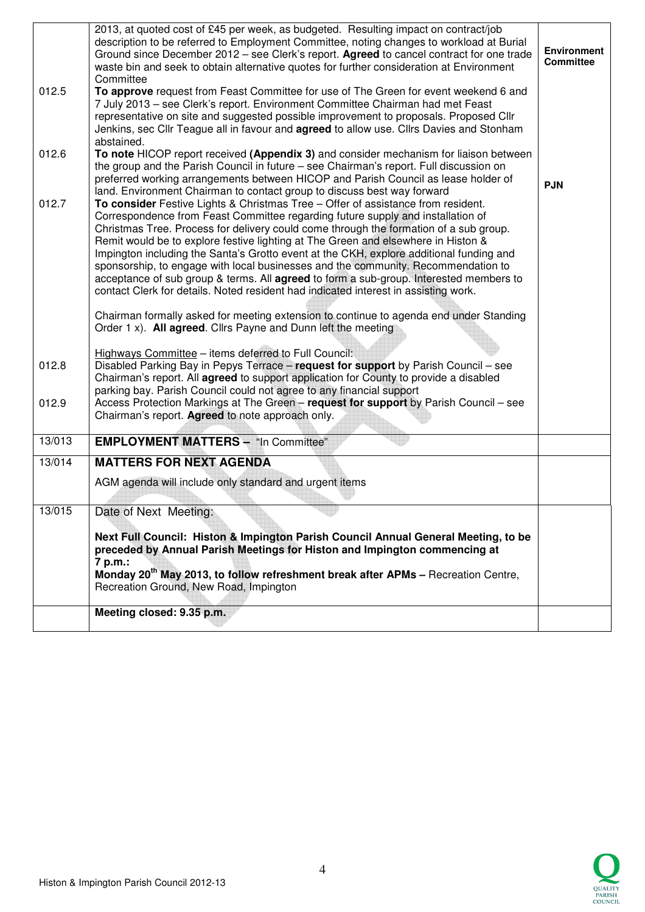|        | 2013, at quoted cost of £45 per week, as budgeted. Resulting impact on contract/job<br>description to be referred to Employment Committee, noting changes to workload at Burial<br>Ground since December 2012 - see Clerk's report. Agreed to cancel contract for one trade<br>waste bin and seek to obtain alternative quotes for further consideration at Environment                                                                                                                                                                                                                                                                                                                                            | <b>Environment</b><br><b>Committee</b> |
|--------|--------------------------------------------------------------------------------------------------------------------------------------------------------------------------------------------------------------------------------------------------------------------------------------------------------------------------------------------------------------------------------------------------------------------------------------------------------------------------------------------------------------------------------------------------------------------------------------------------------------------------------------------------------------------------------------------------------------------|----------------------------------------|
| 012.5  | Committee<br>To approve request from Feast Committee for use of The Green for event weekend 6 and<br>7 July 2013 - see Clerk's report. Environment Committee Chairman had met Feast<br>representative on site and suggested possible improvement to proposals. Proposed Cllr<br>Jenkins, sec Cllr Teague all in favour and agreed to allow use. Cllrs Davies and Stonham<br>abstained.                                                                                                                                                                                                                                                                                                                             |                                        |
| 012.6  | To note HICOP report received (Appendix 3) and consider mechanism for liaison between<br>the group and the Parish Council in future - see Chairman's report. Full discussion on<br>preferred working arrangements between HICOP and Parish Council as lease holder of<br>land. Environment Chairman to contact group to discuss best way forward                                                                                                                                                                                                                                                                                                                                                                   | <b>PJN</b>                             |
| 012.7  | To consider Festive Lights & Christmas Tree - Offer of assistance from resident.<br>Correspondence from Feast Committee regarding future supply and installation of<br>Christmas Tree. Process for delivery could come through the formation of a sub group.<br>Remit would be to explore festive lighting at The Green and elsewhere in Histon &<br>Impington including the Santa's Grotto event at the CKH, explore additional funding and<br>sponsorship, to engage with local businesses and the community. Recommendation to<br>acceptance of sub group & terms. All agreed to form a sub-group. Interested members to<br>contact Clerk for details. Noted resident had indicated interest in assisting work. |                                        |
|        | Chairman formally asked for meeting extension to continue to agenda end under Standing<br>Order 1 x). All agreed. Cllrs Payne and Dunn left the meeting                                                                                                                                                                                                                                                                                                                                                                                                                                                                                                                                                            |                                        |
| 012.8  | Highways Committee - items deferred to Full Council:<br>Disabled Parking Bay in Pepys Terrace - request for support by Parish Council - see<br>Chairman's report. All agreed to support application for County to provide a disabled<br>parking bay. Parish Council could not agree to any financial support                                                                                                                                                                                                                                                                                                                                                                                                       |                                        |
| 012.9  | Access Protection Markings at The Green - request for support by Parish Council - see<br>Chairman's report. Agreed to note approach only.                                                                                                                                                                                                                                                                                                                                                                                                                                                                                                                                                                          |                                        |
| 13/013 | <b>EMPLOYMENT MATTERS - "In Committee"</b>                                                                                                                                                                                                                                                                                                                                                                                                                                                                                                                                                                                                                                                                         |                                        |
| 13/014 | <b>MATTERS FOR NEXT AGENDA</b>                                                                                                                                                                                                                                                                                                                                                                                                                                                                                                                                                                                                                                                                                     |                                        |
|        | AGM agenda will include only standard and urgent items                                                                                                                                                                                                                                                                                                                                                                                                                                                                                                                                                                                                                                                             |                                        |
| 13/015 | Date of Next Meeting:                                                                                                                                                                                                                                                                                                                                                                                                                                                                                                                                                                                                                                                                                              |                                        |
|        | Next Full Council: Histon & Impington Parish Council Annual General Meeting, to be<br>preceded by Annual Parish Meetings for Histon and Impington commencing at                                                                                                                                                                                                                                                                                                                                                                                                                                                                                                                                                    |                                        |
|        | 7 p.m.:<br>Monday 20 <sup>th</sup> May 2013, to follow refreshment break after APMs - Recreation Centre,<br>Recreation Ground, New Road, Impington                                                                                                                                                                                                                                                                                                                                                                                                                                                                                                                                                                 |                                        |
|        | Meeting closed: 9.35 p.m.                                                                                                                                                                                                                                                                                                                                                                                                                                                                                                                                                                                                                                                                                          |                                        |

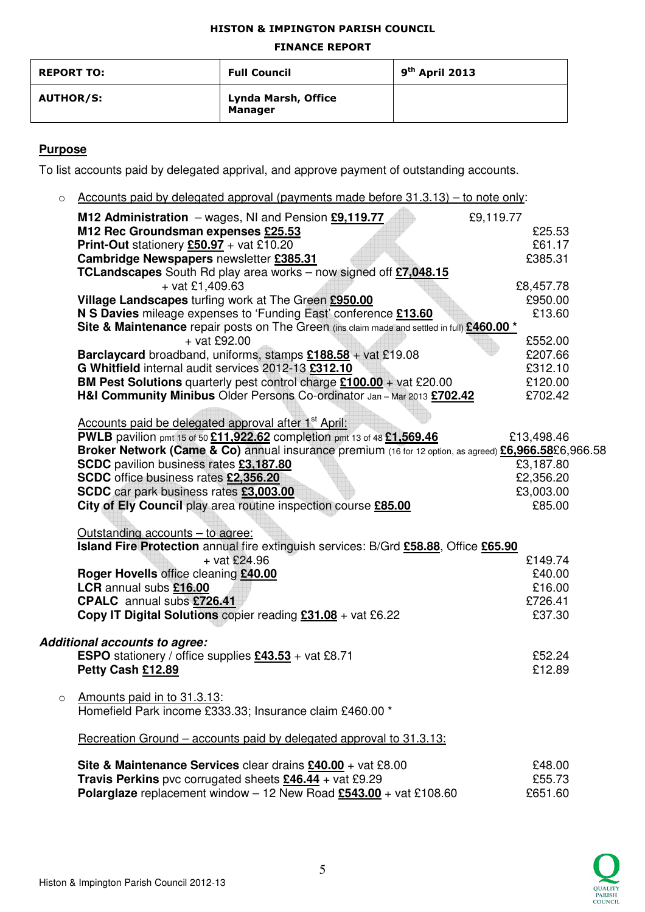#### HISTON & IMPINGTON PARISH COUNCIL

#### FINANCE REPORT

| <b>REPORT TO:</b> | <b>Full Council</b>                   | $9th$ April 2013 |
|-------------------|---------------------------------------|------------------|
| <b>AUTHOR/S:</b>  | Lynda Marsh, Office<br><b>Manager</b> |                  |

## **Purpose**

To list accounts paid by delegated apprival, and approve payment of outstanding accounts.

 $\circ$  Accounts paid by delegated approval (payments made before 31.3.13) – to note only:

|   | M12 Administration $-$ wages, NI and Pension $£9,119.77$                                                 | £9,119.77              |  |
|---|----------------------------------------------------------------------------------------------------------|------------------------|--|
|   | M12 Rec Groundsman expenses £25.53                                                                       | £25.53                 |  |
|   | <b>Print-Out</b> stationery $£50.97 + \text{vat } £10.20$                                                | £61.17                 |  |
|   | Cambridge Newspapers newsletter £385.31                                                                  | £385.31                |  |
|   | TCLandscapes South Rd play area works - now signed off £7,048.15                                         |                        |  |
|   | $+$ vat £1,409.63                                                                                        | £8,457.78              |  |
|   | Village Landscapes turfing work at The Green £950.00                                                     | £950.00                |  |
|   | N S Davies mileage expenses to 'Funding East' conference £13.60                                          | £13.60                 |  |
|   | Site & Maintenance repair posts on The Green (ins claim made and settled in full) £460.00 *              |                        |  |
|   | $+$ vat £92.00                                                                                           | £552.00                |  |
|   | Barclaycard broadband, uniforms, stamps £188.58 + vat £19.08                                             | £207.66                |  |
|   | G Whitfield internal audit services 2012-13 £312.10                                                      | £312.10                |  |
|   | <b>BM Pest Solutions</b> quarterly pest control charge $£100.00 +$ vat £20.00                            | £120.00                |  |
|   | H&I Community Minibus Older Persons Co-ordinator Jan - Mar 2013 £702.42                                  | £702.42                |  |
|   |                                                                                                          |                        |  |
|   | Accounts paid be delegated approval after 1 <sup>st</sup> April:                                         |                        |  |
|   | PWLB pavilion pmt 15 of 50 £11,922.62 completion pmt 13 of 48 £1,569.46                                  | £13,498.46             |  |
|   | Broker Network (Came & Co) annual insurance premium (16 for 12 option, as agreed) £6,966.58£6,966.58     |                        |  |
|   | SCDC pavilion business rates £3,187.80                                                                   | £3,187.80<br>£2,356.20 |  |
|   | SCDC office business rates £2,356.20                                                                     | £3,003.00              |  |
|   | SCDC car park business rates £3,003.00<br>City of Ely Council play area routine inspection course £85.00 | £85.00                 |  |
|   |                                                                                                          |                        |  |
|   | Outstanding accounts - to agree:                                                                         |                        |  |
|   | Island Fire Protection annual fire extinguish services: B/Grd £58.88, Office £65.90                      |                        |  |
|   | $+$ vat £24.96                                                                                           | £149.74                |  |
|   | Roger Hovells office cleaning £40.00                                                                     | £40.00                 |  |
|   | LCR annual subs £16.00                                                                                   | £16.00                 |  |
|   | <b>CPALC</b> annual subs £726.41                                                                         | £726.41                |  |
|   | Copy IT Digital Solutions copier reading £31.08 + vat £6.22                                              | £37.30                 |  |
|   |                                                                                                          |                        |  |
|   | <b>Additional accounts to agree:</b>                                                                     |                        |  |
|   | ESPO stationery / office supplies £43.53 + vat £8.71                                                     | £52.24                 |  |
|   | Petty Cash £12.89                                                                                        | £12.89                 |  |
|   |                                                                                                          |                        |  |
| O | Amounts paid in to 31.3.13:                                                                              |                        |  |
|   | Homefield Park income £333.33; Insurance claim £460.00 *                                                 |                        |  |
|   | Recreation Ground – accounts paid by delegated approval to 31.3.13:                                      |                        |  |
|   |                                                                                                          |                        |  |
|   | Site & Maintenance Services clear drains £40.00 + vat £8.00                                              | £48.00                 |  |
|   | <b>Travis Perkins</b> pvc corrugated sheets $£46.44 + \text{vat} £9.29$                                  | £55.73                 |  |
|   | <b>Polarglaze</b> replacement window - 12 New Road $£543.00 + \text{vat } £108.60$                       | £651.60                |  |